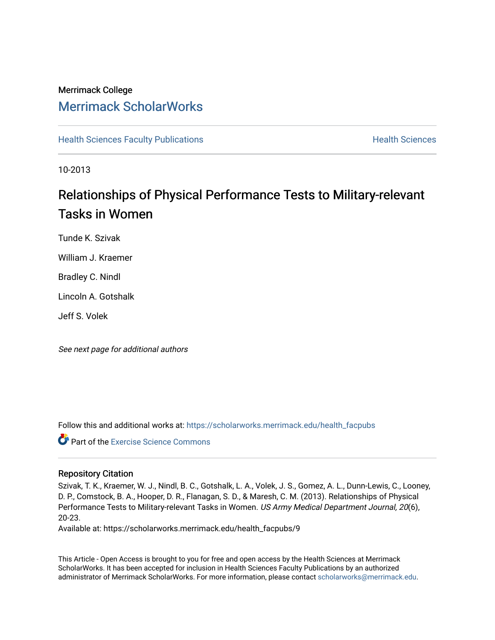### Merrimack College [Merrimack ScholarWorks](https://scholarworks.merrimack.edu/)

**[Health Sciences Faculty Publications](https://scholarworks.merrimack.edu/health_facpubs) Mealth Sciences Health Sciences** Health Sciences

10-2013

## Relationships of Physical Performance Tests to Military-relevant Tasks in Women

Tunde K. Szivak

William J. Kraemer

Bradley C. Nindl

Lincoln A. Gotshalk

Jeff S. Volek

See next page for additional authors

Follow this and additional works at: [https://scholarworks.merrimack.edu/health\\_facpubs](https://scholarworks.merrimack.edu/health_facpubs?utm_source=scholarworks.merrimack.edu%2Fhealth_facpubs%2F9&utm_medium=PDF&utm_campaign=PDFCoverPages) 

**C** Part of the [Exercise Science Commons](http://network.bepress.com/hgg/discipline/1091?utm_source=scholarworks.merrimack.edu%2Fhealth_facpubs%2F9&utm_medium=PDF&utm_campaign=PDFCoverPages)

#### Repository Citation

Szivak, T. K., Kraemer, W. J., Nindl, B. C., Gotshalk, L. A., Volek, J. S., Gomez, A. L., Dunn-Lewis, C., Looney, D. P., Comstock, B. A., Hooper, D. R., Flanagan, S. D., & Maresh, C. M. (2013). Relationships of Physical Performance Tests to Military-relevant Tasks in Women. US Army Medical Department Journal, 20(6), 20-23.

Available at: https://scholarworks.merrimack.edu/health\_facpubs/9

This Article - Open Access is brought to you for free and open access by the Health Sciences at Merrimack ScholarWorks. It has been accepted for inclusion in Health Sciences Faculty Publications by an authorized administrator of Merrimack ScholarWorks. For more information, please contact [scholarworks@merrimack.edu](mailto:scholarworks@merrimack.edu).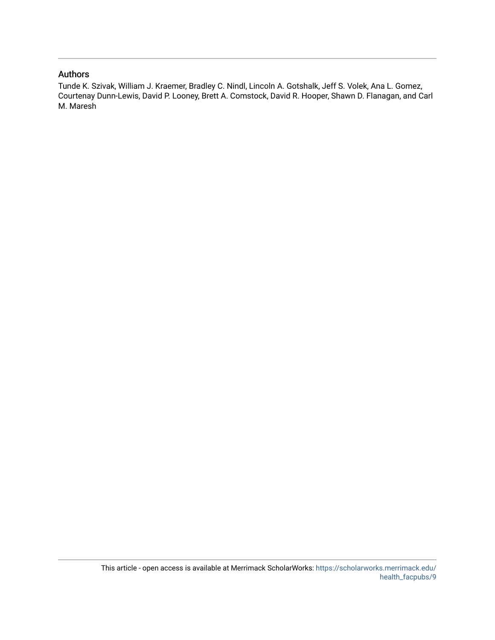#### Authors

Tunde K. Szivak, William J. Kraemer, Bradley C. Nindl, Lincoln A. Gotshalk, Jeff S. Volek, Ana L. Gomez, Courtenay Dunn-Lewis, David P. Looney, Brett A. Comstock, David R. Hooper, Shawn D. Flanagan, and Carl M. Maresh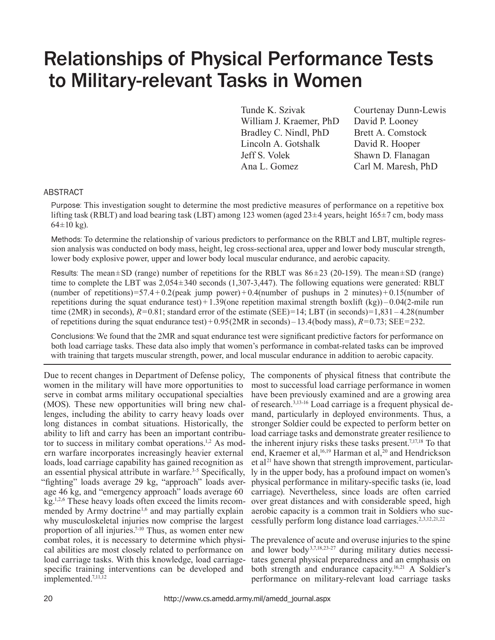# Relationships of Physical Performance Tests to Military-relevant Tasks in Women

Tunde K. Szivak Courtenay Dunn-Lewis William J. Kraemer, PhD David P. Looney Bradley C. Nindl, PhD Brett A. Comstock Lincoln A. Gotshalk David R. Hooper Jeff S. Volek Shawn D. Flanagan Ana L. Gomez Carl M. Maresh, PhD

#### ABSTRACT

Purpose: This investigation sought to determine the most predictive measures of performance on a repetitive box lifting task (RBLT) and load bearing task (LBT) among 123 women (aged 23±4 years, height 165±7 cm, body mass  $64 \pm 10$  kg).

Methods: To determine the relationship of various predictors to performance on the RBLT and LBT, multiple regression analysis was conducted on body mass, height, leg cross-sectional area, upper and lower body muscular strength, lower body explosive power, upper and lower body local muscular endurance, and aerobic capacity.

Results: The mean $\pm$ SD (range) number of repetitions for the RBLT was  $86\pm23$  (20-159). The mean $\pm$ SD (range) time to complete the LBT was 2,054±340 seconds (1,307-3,447). The following equations were generated: RBLT (number of repetitions)=57.4 + 0.2(peak jump power) + 0.4(number of pushups in 2 minutes) + 0.15(number of repetitions during the squat endurance test) + 1.39(one repetition maximal strength boxlift  $(kg)$ ) – 0.04(2-mile run time (2MR) in seconds),  $R=0.81$ ; standard error of the estimate (SEE)=14; LBT (in seconds)=1,831 – 4.28(number of repetitions during the squat endurance test) +  $0.95(2MR \text{ in seconds}) - 13.4(\text{body mass})$ ,  $R=0.73$ ; SEE=232.

Conclusions: We found that the 2MR and squat endurance test were significant predictive factors for performance on both load carriage tasks. These data also imply that women's performance in combat-related tasks can be improved with training that targets muscular strength, power, and local muscular endurance in addition to aerobic capacity.

Due to recent changes in Department of Defense policy, The components of physical fitness that contribute the women in the military will have more opportunities to serve in combat arms military occupational specialties (MOS). These new opportunities will bring new challenges, including the ability to carry heavy loads over long distances in combat situations. Historically, the ability to lift and carry has been an important contributor to success in military combat operations.1,2 As modern warfare incorporates increasingly heavier external loads, load carriage capability has gained recognition as an essential physical attribute in warfare.<sup>3-5</sup> Specifically, "fighting" loads average 29 kg, "approach" loads average 46 kg, and "emergency approach" loads average 60 kg.1,2,6 These heavy loads often exceed the limits recommended by Army doctrine<sup>1,6</sup> and may partially explain why musculoskeletal injuries now comprise the largest proportion of all injuries.<sup>7-10</sup> Thus, as women enter new combat roles, it is necessary to determine which physi-The prevalence of acute and overuse injuries to the spine cal abilities are most closely related to performance on load carriage tasks. With this knowledge, load carriagespecific training interventions can be developed and implemented.<sup>7,11,12</sup>

most to successful load carriage performance in women have been previously examined and are a growing area of research.3,13-16 Load carriage is a frequent physical demand, particularly in deployed environments. Thus, a stronger Soldier could be expected to perform better on load carriage tasks and demonstrate greater resilience to the inherent injury risks these tasks present.7,17,18 To that end, Kraemer et al,  $16,19$  Harman et al,  $20$  and Hendrickson et al<sup>21</sup> have shown that strength improvement, particularly in the upper body, has a profound impact on women's physical performance in military-specific tasks (ie, load carriage). Nevertheless, since loads are often carried over great distances and with considerable speed, high aerobic capacity is a common trait in Soldiers who successfully perform long distance load carriages.<sup>2,3,12,21,22</sup>

and lower body3,7,18,23-27 during military duties necessitates general physical preparedness and an emphasis on both strength and endurance capacity.<sup>16,21</sup> A Soldier's performance on military-relevant load carriage tasks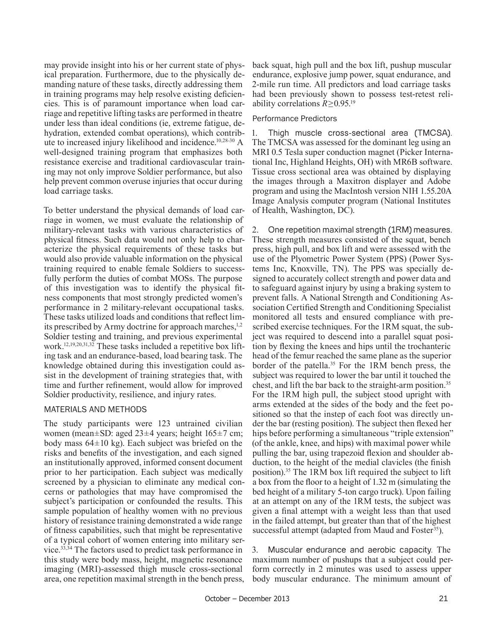may provide insight into his or her current state of physical preparation. Furthermore, due to the physically demanding nature of these tasks, directly addressing them in training programs may help resolve existing deficiencies. This is of paramount importance when load carriage and repetitive lifting tasks are performed in theatre under less than ideal conditions (ie, extreme fatigue, dehydration, extended combat operations), which contribute to increased injury likelihood and incidence.10,28-30 A well-designed training program that emphasizes both resistance exercise and traditional cardiovascular training may not only improve Soldier performance, but also help prevent common overuse injuries that occur during load carriage tasks.

To better understand the physical demands of load carriage in women, we must evaluate the relationship of military-relevant tasks with various characteristics of physical fitness. Such data would not only help to characterize the physical requirements of these tasks but would also provide valuable information on the physical training required to enable female Soldiers to successfully perform the duties of combat MOSs. The purpose of this investigation was to identify the physical fitness components that most strongly predicted women's performance in 2 military-relevant occupational tasks. These tasks utilized loads and conditions that reflect limits prescribed by Army doctrine for approach marches, $1,2$ Soldier testing and training, and previous experimental work.12,19,20,31,32 These tasks included a repetitive box lifting task and an endurance-based, load bearing task. The knowledge obtained during this investigation could assist in the development of training strategies that, with time and further refinement, would allow for improved Soldier productivity, resilience, and injury rates.

#### MATERIALS AND METHODS

The study participants were 123 untrained civilian women (mean±SD: aged 23±4 years; height 165±7 cm; body mass  $64\pm10$  kg). Each subject was briefed on the risks and benefits of the investigation, and each signed an institutionally approved, informed consent document prior to her participation. Each subject was medically screened by a physician to eliminate any medical concerns or pathologies that may have compromised the subject's participation or confounded the results. This sample population of healthy women with no previous history of resistance training demonstrated a wide range of fitness capabilities, such that might be representative of a typical cohort of women entering into military service.33,34 The factors used to predict task performance in this study were body mass, height, magnetic resonance imaging (MRI)-assessed thigh muscle cross-sectional area, one repetition maximal strength in the bench press, back squat, high pull and the box lift, pushup muscular endurance, explosive jump power, squat endurance, and 2-mile run time. All predictors and load carriage tasks had been previously shown to possess test-retest reliability correlations *R*≥0.95.19

#### Performance Predictors

1. Thigh muscle cross-sectional area (TMCSA). The TMCSA was assessed for the dominant leg using an MRI 0.5 Tesla super conduction magnet (Picker International Inc, Highland Heights, OH) with MR6B software. Tissue cross sectional area was obtained by displaying the images through a Maxitron displayer and Adobe program and using the MacIntosh version NIH 1.55.20A Image Analysis computer program (National Institutes of Health, Washington, DC).

2. One repetition maximal strength (1RM) measures. These strength measures consisted of the squat, bench press, high pull, and box lift and were assessed with the use of the Plyometric Power System (PPS) (Power Systems Inc, Knoxville, TN). The PPS was specially designed to accurately collect strength and power data and to safeguard against injury by using a braking system to prevent falls. A National Strength and Conditioning Association Certified Strength and Conditioning Specialist monitored all tests and ensured compliance with prescribed exercise techniques. For the 1RM squat, the subject was required to descend into a parallel squat position by flexing the knees and hips until the trochanteric head of the femur reached the same plane as the superior border of the patella.<sup>35</sup> For the 1RM bench press, the subject was required to lower the bar until it touched the chest, and lift the bar back to the straight-arm position.<sup>35</sup> For the 1RM high pull, the subject stood upright with arms extended at the sides of the body and the feet positioned so that the instep of each foot was directly under the bar (resting position). The subject then flexed her hips before performing a simultaneous "triple extension" (of the ankle, knee, and hips) with maximal power while pulling the bar, using trapezoid flexion and shoulder abduction, to the height of the medial clavicles (the finish position).35 The 1RM box lift required the subject to lift a box from the floor to a height of 1.32 m (simulating the bed height of a military 5-ton cargo truck). Upon failing at an attempt on any of the 1RM tests, the subject was given a final attempt with a weight less than that used in the failed attempt, but greater than that of the highest successful attempt (adapted from Maud and Foster<sup>35</sup>).

3. Muscular endurance and aerobic capacity*.* The maximum number of pushups that a subject could perform correctly in 2 minutes was used to assess upper body muscular endurance. The minimum amount of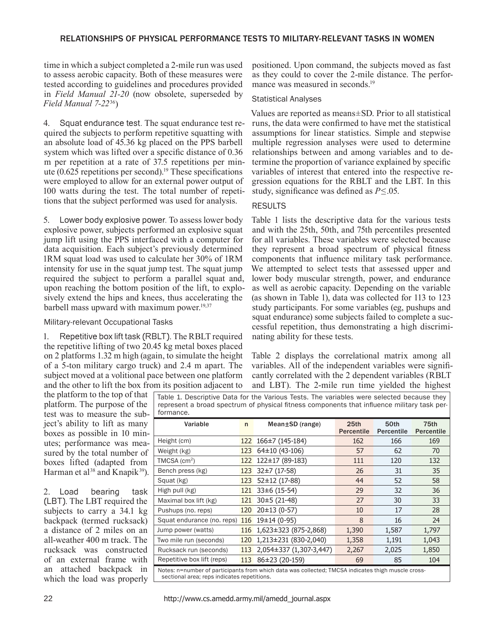#### RELATIONSHIPS OF PHYSICAL PERFORMANCE TESTS TO MILITARY-RELEVANT TASKS IN WOMEN

time in which a subject completed a 2-mile run was used to assess aerobic capacity. Both of these measures were tested according to guidelines and procedures provided in *Field Manual 21-20* (now obsolete, superseded by *Field Manual 7-22*36)

4. Squat endurance test. The squat endurance test required the subjects to perform repetitive squatting with an absolute load of 45.36 kg placed on the PPS barbell system which was lifted over a specific distance of 0.36 m per repetition at a rate of 37.5 repetitions per minute  $(0.625$  repetitions per second).<sup>19</sup> These specifications were employed to allow for an external power output of 100 watts during the test. The total number of repetitions that the subject performed was used for analysis.

5. Lower body explosive power. To assess lower body explosive power, subjects performed an explosive squat jump lift using the PPS interfaced with a computer for data acquisition. Each subject's previously determined 1RM squat load was used to calculate her 30% of 1RM intensity for use in the squat jump test. The squat jump required the subject to perform a parallel squat and, upon reaching the bottom position of the lift, to explosively extend the hips and knees, thus accelerating the barbell mass upward with maximum power.<sup>19,37</sup>

#### Military-relevant Occupational Tasks

Repetitive box lift task (RBLT). The RBLT required the repetitive lifting of two 20.45 kg metal boxes placed on 2 platforms 1.32 m high (again, to simulate the height of a 5-ton military cargo truck) and 2.4 m apart. The subject moved at a volitional pace between one platform and the other to lift the box from its position adjacent to

positioned. Upon command, the subjects moved as fast as they could to cover the 2-mile distance. The performance was measured in seconds.<sup>19</sup>

#### Statistical Analyses

Values are reported as means±SD. Prior to all statistical runs, the data were confirmed to have met the statistical assumptions for linear statistics. Simple and stepwise multiple regression analyses were used to determine relationships between and among variables and to determine the proportion of variance explained by specific variables of interest that entered into the respective regression equations for the RBLT and the LBT. In this study, significance was defined as  $P \leq 0.05$ .

#### RESULTS

Table 1 lists the descriptive data for the various tests and with the 25th, 50th, and 75th percentiles presented for all variables. These variables were selected because they represent a broad spectrum of physical fitness components that influence military task performance. We attempted to select tests that assessed upper and lower body muscular strength, power, and endurance as well as aerobic capacity. Depending on the variable (as shown in Table 1), data was collected for 113 to 123 study participants. For some variables (eg, pushups and squat endurance) some subjects failed to complete a successful repetition, thus demonstrating a high discriminating ability for these tests.

Table 2 displays the correlational matrix among all variables. All of the independent variables were significantly correlated with the 2 dependent variables (RBLT and LBT). The 2-mile run time yielded the highest

the platform to the top of that platform. The purpose of the test was to measure the subject's ability to lift as many boxes as possible in 10 minutes; performance was measured by the total number of boxes lifted (adapted from Harman et al<sup>38</sup> and Knapik<sup>39</sup>).

2. Load bearing task (LBT). The LBT required the subjects to carry a 34.1 kg backpack (termed rucksack) a distance of 2 miles on an all-weather 400 m track. The rucksack was constructed of an external frame with an attached backpack in which the load was properly Table 1. Descriptive Data for the Various Tests. The variables were selected because they represent a broad spectrum of physical fitness components that influence military task performance.

| Variable                                                                                                                                          | $\mathsf{n}$ | $Mean \pm SD$ (range)       | 25 <sub>th</sub><br><b>Percentile</b> | 50th<br>Percentile | 75th<br><b>Percentile</b> |  |
|---------------------------------------------------------------------------------------------------------------------------------------------------|--------------|-----------------------------|---------------------------------------|--------------------|---------------------------|--|
| Height (cm)                                                                                                                                       |              | $122$ $166 \pm 7$ (145-184) | 162                                   | 166                | 169                       |  |
| Weight (kg)                                                                                                                                       | 123          | 64±10 (43-106)              | 57                                    | 62                 | 70                        |  |
| $TMCSA$ (cm <sup>2</sup> )                                                                                                                        | 122          | 122±17 (89-183)             | 111                                   | 120                | 132                       |  |
| Bench press (kg)                                                                                                                                  | 123          | 32±7 (17-58)                | 26                                    | 31                 | 35                        |  |
| Squat (kg)                                                                                                                                        | 123          | $52 \pm 12$ (17-88)         | 44                                    | 52                 | 58                        |  |
| High pull (kg)                                                                                                                                    | 121          | $33\pm 6$ (15-54)           | 29                                    | 32                 | 36                        |  |
| Maximal box lift (kg)                                                                                                                             | 121          | $30±5(21-48)$               | 27                                    | 30                 | 33                        |  |
| Pushups (no. reps)                                                                                                                                | 120          | $20±13(0-57)$               | 10                                    | 17                 | 28                        |  |
| Squat endurance (no. reps)                                                                                                                        | 116          | $19\pm14(0-95)$             | 8                                     | 16                 | 24                        |  |
| Jump power (watts)                                                                                                                                | 116          | $1,623 \pm 323$ (875-2,868) | 1,390                                 | 1,587              | 1,797                     |  |
| Two mile run (seconds)                                                                                                                            | 120          | 1,213±231 (830-2,040)       | 1,358                                 | 1,191              | 1,043                     |  |
| Rucksack run (seconds)                                                                                                                            | 113          | 2,054±337 (1,307-3,447)     | 2,267                                 | 2,025              | 1,850                     |  |
| Repetitive box lift (reps)                                                                                                                        | 113          | 86±23 (20-159)              | 69                                    | 85                 | 104                       |  |
| Notes: n=number of participants from which data was collected; TMCSA indicates thigh muscle cross-<br>sectional area; reps indicates repetitions. |              |                             |                                       |                    |                           |  |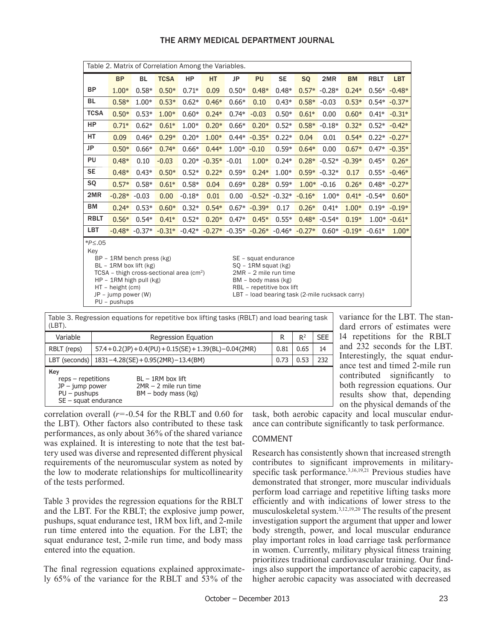| THE ARMY MEDICAL DEPARTMENT JOURNAL |  |
|-------------------------------------|--|
|-------------------------------------|--|

| Table 2. Matrix of Correlation Among the Variables.                                                                                                                                                                                                                                                                                                                                                               |           |           |             |          |                |         |                                                                                  |           |           |                |                       |             |                |
|-------------------------------------------------------------------------------------------------------------------------------------------------------------------------------------------------------------------------------------------------------------------------------------------------------------------------------------------------------------------------------------------------------------------|-----------|-----------|-------------|----------|----------------|---------|----------------------------------------------------------------------------------|-----------|-----------|----------------|-----------------------|-------------|----------------|
|                                                                                                                                                                                                                                                                                                                                                                                                                   | <b>BP</b> | <b>BL</b> | <b>TCSA</b> | HP       | <b>HT</b>      | JP      | PU                                                                               | <b>SE</b> | <b>SQ</b> | 2MR            | <b>BM</b>             | <b>RBLT</b> | <b>LBT</b>     |
| <b>BP</b>                                                                                                                                                                                                                                                                                                                                                                                                         | $1.00*$   | $0.58*$   | $0.50*$     | $0.71*$  | 0.09           | $0.50*$ | $0.48*$                                                                          | $0.48*$   | $0.57*$   | $-0.28*$       | $0.24*$               |             | $0.56* -0.48*$ |
| BL                                                                                                                                                                                                                                                                                                                                                                                                                | $0.58*$   | $1.00*$   | $0.53*$     | $0.62*$  | $0.46*$        | $0.66*$ | 0.10                                                                             | $0.43*$   | $0.58*$   | $-0.03$        | $0.53*$               |             | $0.54* -0.37*$ |
| <b>TCSA</b>                                                                                                                                                                                                                                                                                                                                                                                                       | $0.50*$   | $0.53*$   | $1.00*$     | $0.60*$  | $0.24*$        | $0.74*$ | $-0.03$                                                                          | $0.50*$   | $0.61*$   | 0.00           | $0.60*$               | $0.41*$     | $-0.31*$       |
| <b>HP</b>                                                                                                                                                                                                                                                                                                                                                                                                         | $0.71*$   | $0.62*$   | $0.61*$     | $1.00*$  | $0.20*$        | $0.66*$ | $0.20*$                                                                          | $0.52*$   | $0.58*$   | $-0.18*$       | $0.32*$               |             | $0.52* -0.42*$ |
| <b>HT</b>                                                                                                                                                                                                                                                                                                                                                                                                         | 0.09      | $0.46*$   | $0.29*$     | $0.20*$  | $1.00*$        | $0.44*$ | $-0.35*$                                                                         | $0.22*$   | 0.04      | 0.01           | $0.54*$               |             | $0.22* -0.27*$ |
| JP                                                                                                                                                                                                                                                                                                                                                                                                                | $0.50*$   | $0.66*$   | $0.74*$     | $0.66*$  | $0.44*$        | $1.00*$ | $-0.10$                                                                          | $0.59*$   | $0.64*$   | 0.00           | $0.67*$               | $0.47*$     | $-0.35*$       |
| PU                                                                                                                                                                                                                                                                                                                                                                                                                | $0.48*$   | 0.10      | $-0.03$     | $0.20*$  | $-0.35* -0.01$ |         | $1.00*$                                                                          | $0.24*$   |           | $0.28* -0.52*$ | $-0.39*$              | $0.45*$     | $0.26*$        |
| <b>SE</b>                                                                                                                                                                                                                                                                                                                                                                                                         | $0.48*$   | $0.43*$   | $0.50*$     | $0.52*$  | $0.22*$        | $0.59*$ | $0.24*$                                                                          | $1.00*$   | $0.59*$   | $-0.32*$       | 0.17                  | $0.55*$     | $-0.46*$       |
| SQ                                                                                                                                                                                                                                                                                                                                                                                                                | $0.57*$   | $0.58*$   | $0.61*$     | $0.58*$  | 0.04           | $0.69*$ | $0.28*$                                                                          | $0.59*$   | $1.00*$   | $-0.16$        | $0.26*$               | $0.48*$     | $-0.27*$       |
| 2MR                                                                                                                                                                                                                                                                                                                                                                                                               | $-0.28*$  | $-0.03$   | 0.00        | $-0.18*$ | 0.01           | 0.00    | $-0.52*$                                                                         | $-0.32*$  | $-0.16*$  | $1.00*$        | $0.41*$               | $-0.54*$    | $0.60*$        |
| ВM                                                                                                                                                                                                                                                                                                                                                                                                                | $0.24*$   | $0.53*$   | $0.60*$     | $0.32*$  | $0.54*$        | $0.67*$ | $-0.39*$                                                                         | 0.17      | $0.26*$   | $0.41*$        | $1.00*$               | $0.19*$     | $-0.19*$       |
| <b>RBLT</b>                                                                                                                                                                                                                                                                                                                                                                                                       | $0.56*$   | $0.54*$   | $0.41*$     | $0.52*$  | $0.20*$        | $0.47*$ | $0.45*$                                                                          | $0.55*$   | $0.48*$   | $-0.54*$       | $0.19*$               |             | $1.00* -0.61*$ |
| LBT                                                                                                                                                                                                                                                                                                                                                                                                               |           |           |             |          |                |         | $-0.48*$ $-0.37*$ $-0.31*$ $-0.42*$ $-0.27*$ $-0.35*$ $-0.26*$ $-0.46*$ $-0.27*$ |           |           |                | $0.60* -0.19* -0.61*$ |             | $1.00*$        |
| $*P$ ≤.05<br>Key<br>BP - 1RM bench press (kg)<br>SE - squat endurance<br>$BL - 1RM$ box lift (kg)<br>$SO - 1$ RM squat (kg)<br>$TCSA -$ thigh cross-sectional area (cm <sup>2</sup> )<br>2MR - 2 mile run time<br>$HP - 1RM$ high pull (kg)<br>BM - body mass (kg)<br>HT - height (cm)<br>RBL - repetitive box lift<br>LBT - load bearing task (2-mile rucksack carry)<br>$JP - jump power (W)$<br>$PU - pushups$ |           |           |             |          |                |         |                                                                                  |           |           |                |                       |             |                |

| Table 3. Regression equations for repetitive box lifting tasks (RBLT) and load bearing task |
|---------------------------------------------------------------------------------------------|
| ' (LBT).                                                                                    |

| Variable                                                                                    | Regression Equation                                           | R                                                                       | $R^2$ | <b>SEE</b> |     |  |
|---------------------------------------------------------------------------------------------|---------------------------------------------------------------|-------------------------------------------------------------------------|-------|------------|-----|--|
| RBLT (reps)                                                                                 | $57.4 + 0.2$ (JP) + 0.4(PU) + 0.15(SE) + 1.39(BL) - 0.04(2MR) |                                                                         |       | 0.65       | 14  |  |
|                                                                                             | LBT (seconds)   $1831 - 4.28$ (SE) + 0.95 (2MR) - 13.4 (BM)   |                                                                         | 0.73  | 0.53       | 232 |  |
| Key<br>$reps - repetition$<br>$JP - jump power$<br>$PU - pushups$<br>$SE$ – squat endurance |                                                               | $BL - 1RM$ box lift<br>$2MR - 2$ mile run time<br>$BM - body$ mass (kg) |       |            |     |  |

variance for the LBT. The standard errors of estimates were 14 repetitions for the RBLT and 232 seconds for the LBT. Interestingly, the squat endurance test and timed 2-mile run contributed significantly to both regression equations. Our results show that, depending on the physical demands of the

correlation overall (*r*=-0.54 for the RBLT and 0.60 for the LBT). Other factors also contributed to these task performances, as only about 36% of the shared variance was explained. It is interesting to note that the test battery used was diverse and represented different physical requirements of the neuromuscular system as noted by the low to moderate relationships for multicollinearity of the tests performed.

Table 3 provides the regression equations for the RBLT and the LBT. For the RBLT; the explosive jump power, pushups, squat endurance test, 1RM box lift, and 2-mile run time entered into the equation. For the LBT; the squat endurance test, 2-mile run time, and body mass entered into the equation.

The final regression equations explained approximately 65% of the variance for the RBLT and 53% of the

task, both aerobic capacity and local muscular endurance can contribute significantly to task performance.

#### COMMENT

Research has consistently shown that increased strength contributes to significant improvements in militaryspecific task performance.<sup>3,16,19,21</sup> Previous studies have demonstrated that stronger, more muscular individuals perform load carriage and repetitive lifting tasks more efficiently and with indications of lower stress to the musculoskeletal system.3,12,19,20 The results of the present investigation support the argument that upper and lower body strength, power, and local muscular endurance play important roles in load carriage task performance in women. Currently, military physical fitness training prioritizes traditional cardiovascular training. Our findings also support the importance of aerobic capacity, as higher aerobic capacity was associated with decreased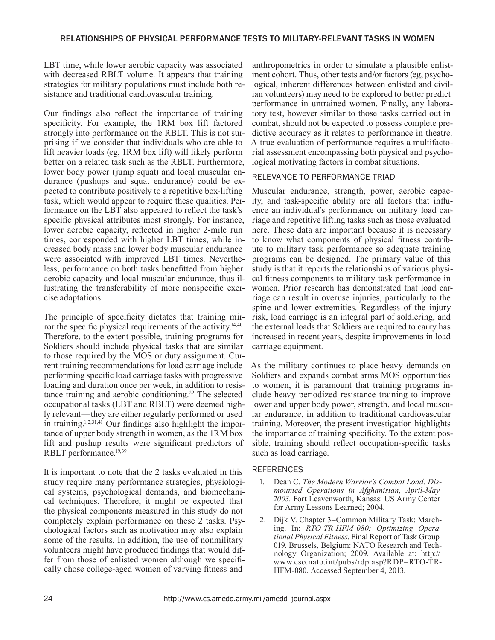#### RELATIONSHIPS OF PHYSICAL PERFORMANCE TESTS TO MILITARY-RELEVANT TASKS IN WOMEN

LBT time, while lower aerobic capacity was associated with decreased RBLT volume. It appears that training strategies for military populations must include both resistance and traditional cardiovascular training.

Our findings also reflect the importance of training specificity. For example, the 1RM box lift factored strongly into performance on the RBLT. This is not surprising if we consider that individuals who are able to lift heavier loads (eg, 1RM box lift) will likely perform better on a related task such as the RBLT. Furthermore, lower body power (jump squat) and local muscular endurance (pushups and squat endurance) could be expected to contribute positively to a repetitive box-lifting task, which would appear to require these qualities. Performance on the LBT also appeared to reflect the task's specific physical attributes most strongly. For instance, lower aerobic capacity, reflected in higher 2-mile run times, corresponded with higher LBT times, while increased body mass and lower body muscular endurance were associated with improved LBT times. Nevertheless, performance on both tasks benefitted from higher aerobic capacity and local muscular endurance, thus illustrating the transferability of more nonspecific exercise adaptations.

The principle of specificity dictates that training mirror the specific physical requirements of the activity.<sup>14,40</sup> Therefore, to the extent possible, training programs for Soldiers should include physical tasks that are similar to those required by the MOS or duty assignment. Current training recommendations for load carriage include performing specific load carriage tasks with progressive loading and duration once per week, in addition to resistance training and aerobic conditioning.<sup>22</sup> The selected occupational tasks (LBT and RBLT) were deemed highly relevant—they are either regularly performed or used in training.<sup>1,2,31,41</sup> Our findings also highlight the importance of upper body strength in women, as the 1RM box lift and pushup results were significant predictors of RBLT performance.<sup>19,39</sup>

It is important to note that the 2 tasks evaluated in this study require many performance strategies, physiological systems, psychological demands, and biomechanical techniques. Therefore, it might be expected that the physical components measured in this study do not completely explain performance on these 2 tasks. Psychological factors such as motivation may also explain some of the results. In addition, the use of nonmilitary volunteers might have produced findings that would differ from those of enlisted women although we specifically chose college-aged women of varying fitness and

anthropometrics in order to simulate a plausible enlistment cohort. Thus, other tests and/or factors (eg, psychological, inherent differences between enlisted and civilian volunteers) may need to be explored to better predict performance in untrained women. Finally, any laboratory test, however similar to those tasks carried out in combat, should not be expected to possess complete predictive accuracy as it relates to performance in theatre. A true evaluation of performance requires a multifactorial assessment encompassing both physical and psychological motivating factors in combat situations.

#### RELEVANCE TO PERFORMANCE TRIAD

Muscular endurance, strength, power, aerobic capacity, and task-specific ability are all factors that influence an individual's performance on military load carriage and repetitive lifting tasks such as those evaluated here. These data are important because it is necessary to know what components of physical fitness contribute to military task performance so adequate training programs can be designed. The primary value of this study is that it reports the relationships of various physical fitness components to military task performance in women. Prior research has demonstrated that load carriage can result in overuse injuries, particularly to the spine and lower extremities. Regardless of the injury risk, load carriage is an integral part of soldiering, and the external loads that Soldiers are required to carry has increased in recent years, despite improvements in load carriage equipment.

As the military continues to place heavy demands on Soldiers and expands combat arms MOS opportunities to women, it is paramount that training programs include heavy periodized resistance training to improve lower and upper body power, strength, and local muscular endurance, in addition to traditional cardiovascular training. Moreover, the present investigation highlights the importance of training specificity. To the extent possible, training should reflect occupation-specific tasks such as load carriage.

#### **REFERENCES**

- 1. Dean C. *The Modern Warrior's Combat Load. Dismounted Operations in Afghanistan, April-May 2003.* Fort Leavenworth, Kansas: US Army Center for Army Lessons Learned; 2004.
- 2. Dijk V. Chapter 3–Common Military Task: Marching. In: *RTO-TR-HFM-080: Optimizing Operational Physical Fitness*. Final Report of Task Group 019. Brussels, Belgium: NATO Research and Technology Organization; 2009. Available at: http:// www.cso.nato.int/pubs/rdp.asp?RDP=RTO-TR-HFM-080. Accessed September 4, 2013.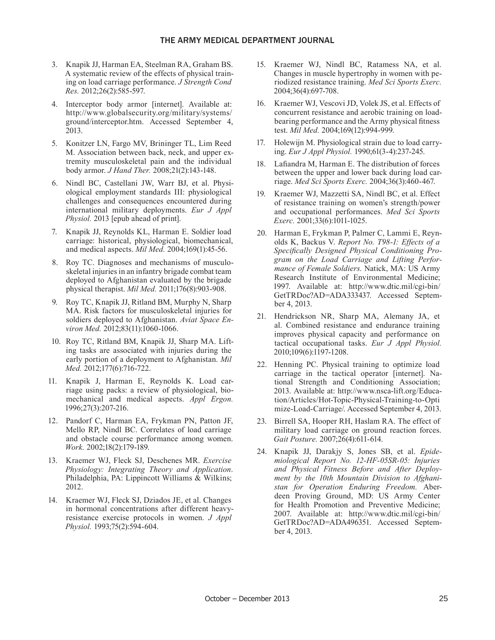- 3. Knapik JJ, Harman EA, Steelman RA, Graham BS. A systematic review of the effects of physical training on load carriage performance. *J Strength Cond Res.* 2012;26(2):585-597.
- 4. Interceptor body armor [internet]. Available at: http://www.globalsecurity.org/military/systems/ ground/interceptor.htm. Accessed September 4, 2013.
- 5. Konitzer LN, Fargo MV, Brininger TL, Lim Reed M. Association between back, neck, and upper extremity musculoskeletal pain and the individual body armor. *J Hand Ther.* 2008;21(2):143-148.
- 6. Nindl BC, Castellani JW, Warr BJ, et al. Physiological employment standards III: physiological challenges and consequences encountered during international military deployments. *Eur J Appl Physiol.* 2013 [epub ahead of print].
- 7. Knapik JJ, Reynolds KL, Harman E. Soldier load carriage: historical, physiological, biomechanical, and medical aspects. *Mil Med.* 2004;169(1):45-56.
- 8. Roy TC. Diagnoses and mechanisms of musculoskeletal injuries in an infantry brigade combat team deployed to Afghanistan evaluated by the brigade physical therapist. *Mil Med.* 2011;176(8):903-908.
- 9. Roy TC, Knapik JJ, Ritland BM, Murphy N, Sharp MA. Risk factors for musculoskeletal injuries for soldiers deployed to Afghanistan. *Aviat Space Environ Med.* 2012;83(11):1060-1066.
- 10. Roy TC, Ritland BM, Knapik JJ, Sharp MA. Lifting tasks are associated with injuries during the early portion of a deployment to Afghanistan. *Mil Med.* 2012;177(6):716-722.
- 11. Knapik J, Harman E, Reynolds K. Load carriage using packs: a review of physiological, biomechanical and medical aspects. *Appl Ergon.*  1996;27(3):207-216.
- 12. Pandorf C, Harman EA, Frykman PN, Patton JF, Mello RP, Nindl BC. Correlates of load carriage and obstacle course performance among women. *Work.* 2002;18(2):179-189.
- 13. Kraemer WJ, Fleck SJ, Deschenes MR. *Exercise Physiology: Integrating Theory and Application*. Philadelphia, PA: Lippincott Williams & Wilkins; 2012.
- 14. Kraemer WJ, Fleck SJ, Dziados JE, et al. Changes in hormonal concentrations after different heavyresistance exercise protocols in women. *J Appl Physiol.* 1993;75(2):594-604.
- 15. Kraemer WJ, Nindl BC, Ratamess NA, et al. Changes in muscle hypertrophy in women with periodized resistance training. *Med Sci Sports Exerc.* 2004;36(4):697-708.
- 16. Kraemer WJ, Vescovi JD, Volek JS, et al. Effects of concurrent resistance and aerobic training on loadbearing performance and the Army physical fitness test. *Mil Med.* 2004;169(12):994-999.
- 17. Holewijn M. Physiological strain due to load carrying. *Eur J Appl Physiol.* 1990;61(3-4):237-245.
- 18. Lafiandra M, Harman E. The distribution of forces between the upper and lower back during load carriage. *Med Sci Sports Exerc.* 2004;36(3):460-467.
- 19. Kraemer WJ, Mazzetti SA, Nindl BC, et al. Effect of resistance training on women's strength/power and occupational performances. *Med Sci Sports Exerc.* 2001;33(6):1011-1025.
- 20. Harman E, Frykman P, Palmer C, Lammi E, Reynolds K, Backus V. *Report No. T98-1: Effects of a Specifi cally Designed Physical Conditioning Program on the Load Carriage and Lifting Performance of Female Soldiers.* Natick, MA: US Army Research Institute of Environmental Medicine; 1997. Available at: http://www.dtic.mil/cgi-bin/ GetTRDoc?AD=ADA333437. Accessed September 4, 2013.
- 21. Hendrickson NR, Sharp MA, Alemany JA, et al. Combined resistance and endurance training improves physical capacity and performance on tactical occupational tasks. *Eur J Appl Physiol.*  2010;109(6):1197-1208.
- 22. Henning PC. Physical training to optimize load carriage in the tactical operator [internet]. National Strength and Conditioning Association; 2013. Available at: http://www.nsca-lift.org/Education/Articles/Hot-Topic-Physical-Training-to-Opti mize-Load-Carriage/. Accessed September 4, 2013.
- 23. Birrell SA, Hooper RH, Haslam RA. The effect of military load carriage on ground reaction forces. *Gait Posture.* 2007;26(4):611-614.
- 24. Knapik JJ, Darakjy S, Jones SB, et al. *Epidemiological Report No. 12-HF-05SR-05: Injuries and Physical Fitness Before and After Deployment by the 10th Mountain Division to Afghanistan for Operation Enduring Freedom.* Aberdeen Proving Ground, MD: US Army Center for Health Promotion and Preventive Medicine; 2007. Available at: http://www.dtic.mil/cgi-bin/ GetTRDoc?AD=ADA496351. Accessed September 4, 2013.